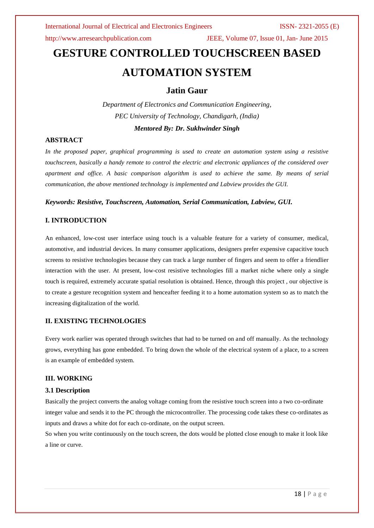http://www.arresearchpublication.com JEEE, Volume 07, Issue 01, Jan- June 2015

# **GESTURE CONTROLLED TOUCHSCREEN BASED AUTOMATION SYSTEM**

# **Jatin Gaur**

*Department of Electronics and Communication Engineering, PEC University of Technology, Chandigarh, (India)*

*Mentored By: Dr. Sukhwinder Singh*

# **ABSTRACT**

*In the proposed paper, graphical programming is used to create an automation system using a resistive touchscreen, basically a handy remote to control the electric and electronic appliances of the considered over apartment and office. A basic comparison algorithm is used to achieve the same. By means of serial communication, the above mentioned technology is implemented and Labview provides the GUI.*

### *Keywords: Resistive, Touchscreen, Automation, Serial Communication, Labview, GUI.*

### **I. INTRODUCTION**

An enhanced, low-cost user interface using touch is a valuable feature for a variety of consumer, medical, automotive, and industrial devices. In many consumer applications, designers prefer expensive capacitive touch screens to resistive technologies because they can track a large number of fingers and seem to offer a friendlier interaction with the user. At present, low-cost resistive technologies fill a market niche where only a single touch is required, extremely accurate spatial resolution is obtained. Hence, through this project , our objective is to create a gesture recognition system and henceafter feeding it to a home automation system so as to match the increasing digitalization of the world.

# **II. EXISTING TECHNOLOGIES**

Every work earlier was operated through switches that had to be turned on and off manually. As the technology grows, everything has gone embedded. To bring down the whole of the electrical system of a place, to a screen is an example of embedded system.

### **III. WORKING**

### **3.1 Description**

Basically the project converts the analog voltage coming from the resistive touch screen into a two co-ordinate integer value and sends it to the PC through the microcontroller. The processing code takes these co-ordinates as inputs and draws a white dot for each co-ordinate, on the output screen.

So when you write continuously on the touch screen, the dots would be plotted close enough to make it look like a line or curve.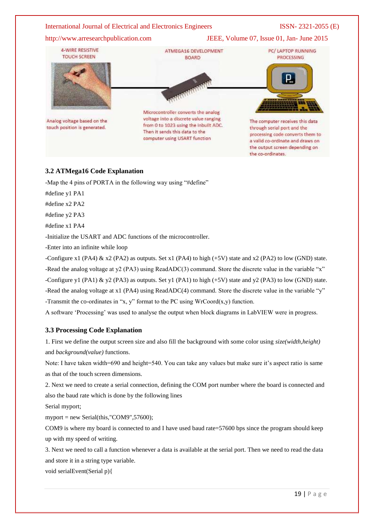http://www.arresearchpublication.com JEEE, Volume 07, Issue 01, Jan- June 2015



# **3.2 ATMega16 Code Explanation**

-Map the 4 pins of PORTA in the following way using "#define"

#define y1 PA1

#define x2 PA2

#define y2 PA3

#define x1 PA4

-Initialize the USART and ADC functions of the microcontroller.

-Enter into an infinite while loop

-Configure x1 (PA4) & x2 (PA2) as outputs. Set x1 (PA4) to high (+5V) state and x2 (PA2) to low (GND) state. -Read the analog voltage at y2 (PA3) using ReadADC(3) command. Store the discrete value in the variable "x" -Configure y1 (PA1) & y2 (PA3) as outputs. Set y1 (PA1) to high (+5V) state and y2 (PA3) to low (GND) state. -Read the analog voltage at x1 (PA4) using ReadADC(4) command. Store the discrete value in the variable "y" -Transmit the co-ordinates in "x, y" format to the PC using  $WrCoord(x,y)$  function.

A software "Processing" was used to analyse the output when block diagrams in LabVIEW were in progress.

### **3.3 Processing Code Explanation**

1. First we define the output screen size and also fill the background with some color using *size(width,height)* and *background(value)* functions.

Note: I have taken width=690 and height=540. You can take any values but make sure it's aspect ratio is same as that of the touch screen dimensions.

2. Next we need to create a serial connection, defining the COM port number where the board is connected and also the baud rate which is done by the following lines

Serial myport;

myport = new Serial(this,"COM9",57600);

COM9 is where my board is connected to and I have used baud rate=57600 bps since the program should keep up with my speed of writing.

3. Next we need to call a function whenever a data is available at the serial port. Then we need to read the data and store it in a string type variable.

void serialEvent(Serial p){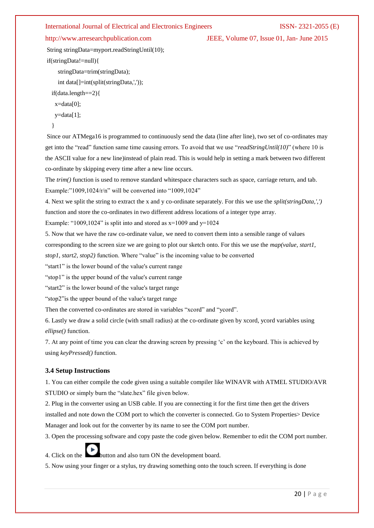http://www.arresearchpublication.com JEEE, Volume 07, Issue 01, Jan- June 2015

String stringData=myport.readStringUntil(10); if(stringData!=null){

stringData=trim(stringData);

int data[]=int(split(stringData,','));

if(data.length==2){

x=data[0];

y=data[1];

}

Since our ATMega16 is programmed to continuously send the data (line after line), two set of co-ordinates may get into the "read" function same time causing errors. To avoid that we use "*readStringUntil(10)*" (where 10 is the ASCII value for a new line)instead of plain read. This is would help in setting a mark between two different co-ordinate by skipping every time after a new line occurs.

The *trim()* function is used to remove standard whitespace characters such as space, carriage return, and tab. Example:"1009,1024/r/n" will be converted into "1009,1024"

4. Next we split the string to extract the x and y co-ordinate separately. For this we use the *split(stringData,',')* function and store the co-ordinates in two different address locations of a integer type array.

Example: "1009,1024" is split into and stored as  $x=1009$  and  $y=1024$ 

5. Now that we have the raw co-ordinate value, we need to convert them into a sensible range of values

corresponding to the screen size we are going to plot our sketch onto. For this we use the *map(value, start1,* 

*stop1, start2, stop2)* function. Where "value" is the incoming value to be converted

"start1" is the lower bound of the value's current range

"stop1" is the upper bound of the value's current range

"start2" is the lower bound of the value's target range

"stop2"is the upper bound of the value's target range

Then the converted co-ordinates are stored in variables "xcord" and "ycord".

6. Lastly we draw a solid circle (with small radius) at the co-ordinate given by xcord, ycord variables using *ellipse()* function.

7. At any point of time you can clear the drawing screen by pressing "c" on the keyboard. This is achieved by using *keyPressed()* function.

# **3.4 Setup Instructions**

1. You can either compile the code given using a suitable compiler like WINAVR with ATMEL STUDIO/AVR STUDIO or simply burn the "slate.hex" file given below.

2. Plug in the converter using an USB cable. If you are connecting it for the first time then get the drivers installed and note down the COM port to which the converter is connected. Go to System Properties> Device Manager and look out for the converter by its name to see the COM port number.

3. Open the processing software and copy paste the code given below. Remember to edit the COM port number.

4. Click on the **button** and also turn ON the development board.

5. Now using your finger or a stylus, try drawing something onto the touch screen. If everything is done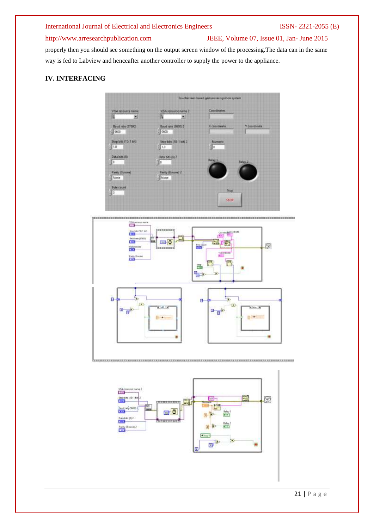........

# http://www.arresearchpublication.com JEEE, Volume 07, Issue 01, Jan- June 2015

properly then you should see something on the output screen window of the processing.The data can in the same way is fed to Labview and henceafter another controller to supply the power to the appliance.

# **IV. INTERFACING**







issexeussesseni